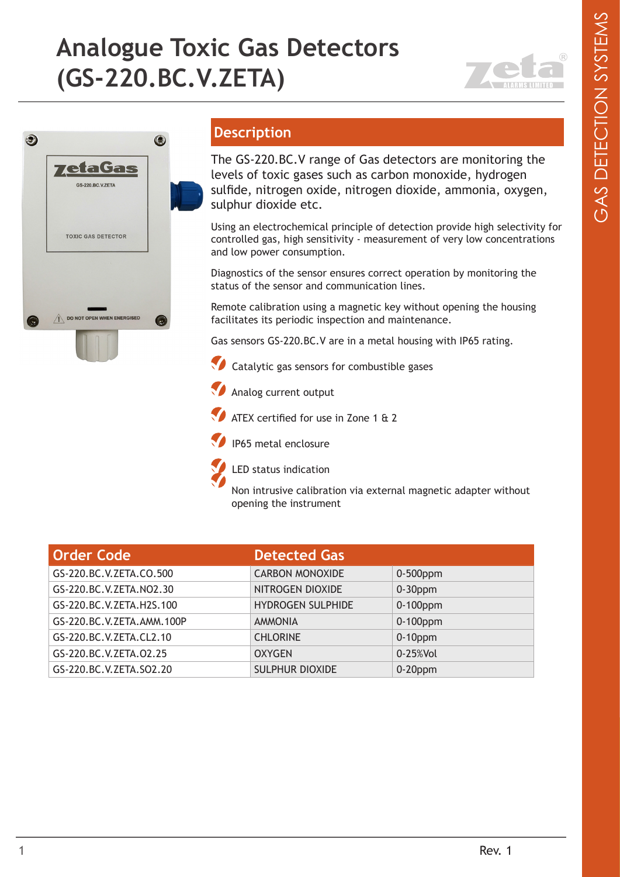## **Analogue Toxic Gas Detectors (GS-220.BC.V.ZETA)**





## **Description**

The GS-220.BC.V range of Gas detectors are monitoring the levels of toxic gases such as carbon monoxide, hydrogen sulfide, nitrogen oxide, nitrogen dioxide, ammonia, oxygen, sulphur dioxide etc.

Using an electrochemical principle of detection provide high selectivity for controlled gas, high sensitivity - measurement of very low concentrations and low power consumption.

Diagnostics of the sensor ensures correct operation by monitoring the status of the sensor and communication lines.

Remote calibration using a magnetic key without opening the housing facilitates its periodic inspection and maintenance.

Gas sensors GS-220.BC.V are in a metal housing with IP65 rating.

 $\sqrt{\phantom{a}}$  Catalytic gas sensors for combustible gases



ATEX certified for use in Zone 1 & 2





LED status indication

Non intrusive calibration via external magnetic adapter without opening the instrument

| Order Code                | <b>Detected Gas</b>      |             |
|---------------------------|--------------------------|-------------|
| GS-220.BC.V.ZETA.CO.500   | <b>CARBON MONOXIDE</b>   | $0-500$ ppm |
| GS-220.BC.V.ZETA.NO2.30   | NITROGEN DIOXIDE         | $0-30$ ppm  |
| GS-220.BC.V.ZETA.H2S.100  | <b>HYDROGEN SULPHIDE</b> | $0-100$ ppm |
| GS-220.BC.V.ZETA.AMM.100P | <b>AMMONIA</b>           | 0-100ppm    |
| GS-220.BC.V.ZETA.CL2.10   | <b>CHLORINE</b>          | $0-10$ ppm  |
| GS-220.BC.V.ZETA.02.25    | <b>OXYGEN</b>            | 0-25%Vol    |
| GS-220.BC.V.ZETA.SO2.20   | <b>SULPHUR DIOXIDE</b>   | $0-20$ ppm  |